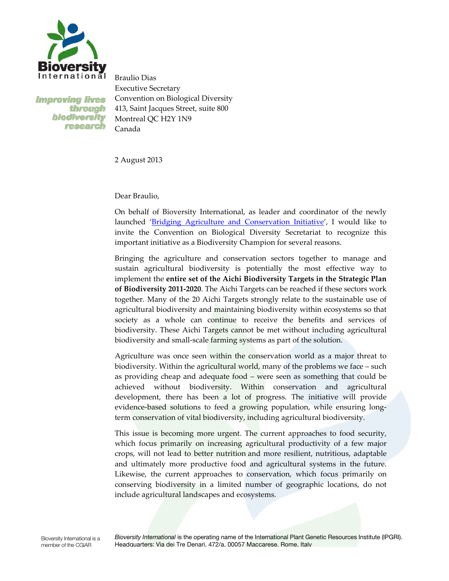

**Improving lives** through biodiversity research

Braulio Dias Executive Secretary Convention on Biological Diversity 413, Saint Jacques Street, suite 800 Montreal QC H2Y 1N9 Canada

2 August 2013

Dear Braulio,

On behalf of Bioversity International, as leader and coordinator of the newly launched 'Bridging Agriculture and Conservation Initiative', I would like to invite the Convention on Biological Diversity Secretariat to recognize this important initiative as a Biodiversity Champion for several reasons.

Bringing the agriculture and conservation sectors together to manage and sustain agricultural biodiversity is potentially the most effective way to implement the **entire set of the Aichi Biodiversity Targets in the Strategic Plan of Biodiversity 2011-2020**. The Aichi Targets can be reached if these sectors work together. Many of the 20 Aichi Targets strongly relate to the sustainable use of agricultural biodiversity and maintaining biodiversity within ecosystems so that society as a whole can continue to receive the benefits and services of biodiversity. These Aichi Targets cannot be met without including agricultural biodiversity and small-scale farming systems as part of the solution.

Agriculture was once seen within the conservation world as a major threat to biodiversity. Within the agricultural world, many of the problems we face – such as providing cheap and adequate food – were seen as something that could be achieved without biodiversity. Within conservation and agricultural development, there has been a lot of progress. The initiative will provide evidence-based solutions to feed a growing population, while ensuring longterm conservation of vital biodiversity, including agricultural biodiversity.

This issue is becoming more urgent. The current approaches to food security, which focus primarily on increasing agricultural productivity of a few major crops, will not lead to better nutrition and more resilient, nutritious, adaptable and ultimately more productive food and agricultural systems in the future. Likewise, the current approaches to conservation, which focus primarily on conserving biodiversity in a limited number of geographic locations, do not include agricultural landscapes and ecosystems.

Bioversity International is the operating name of the International Plant Genetic Resources Institute (IPGRI). Headquarters: Via dei Tre Denari, 472/a, 00057 Maccarese, Rome, Italy